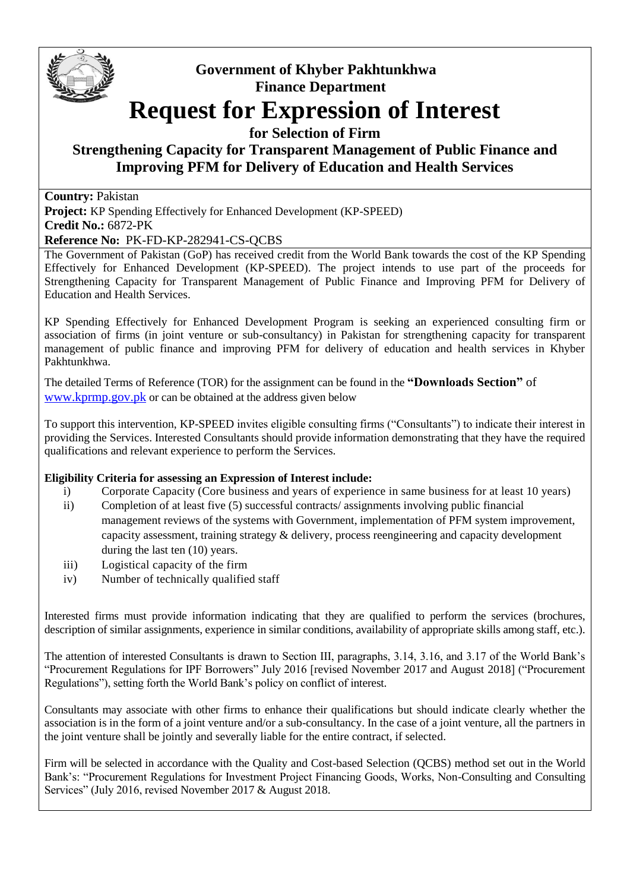

## **Government of Khyber Pakhtunkhwa Finance Department**

# **Request for Expression of Interest**

#### **for Selection of Firm**

#### **Strengthening Capacity for Transparent Management of Public Finance and Improving PFM for Delivery of Education and Health Services**

**Country:** Pakistan

**Project:** KP Spending Effectively for Enhanced Development (KP-SPEED) **Credit No.:** 6872-PK **Reference No:** PK-FD-KP-282941-CS-QCBS

The Government of Pakistan (GoP) has received credit from the World Bank towards the cost of the KP Spending Effectively for Enhanced Development (KP-SPEED). The project intends to use part of the proceeds for Strengthening Capacity for Transparent Management of Public Finance and Improving PFM for Delivery of Education and Health Services.

KP Spending Effectively for Enhanced Development Program is seeking an experienced consulting firm or association of firms (in joint venture or sub-consultancy) in Pakistan for strengthening capacity for transparent management of public finance and improving PFM for delivery of education and health services in Khyber Pakhtunkhwa.

The detailed Terms of Reference (TOR) for the assignment can be found in the **"Downloads Section"** of [www.kprmp.gov.pk](http://www.kprmp.gov.pk/) or can be obtained at the address given below

To support this intervention, KP-SPEED invites eligible consulting firms ("Consultants") to indicate their interest in providing the Services. Interested Consultants should provide information demonstrating that they have the required qualifications and relevant experience to perform the Services.

#### **Eligibility Criteria for assessing an Expression of Interest include:**

- i) Corporate Capacity (Core business and years of experience in same business for at least 10 years)
- ii) Completion of at least five (5) successful contracts/ assignments involving public financial management reviews of the systems with Government, implementation of PFM system improvement, capacity assessment, training strategy & delivery, process reengineering and capacity development during the last ten (10) years.
- iii) Logistical capacity of the firm
- iv) Number of technically qualified staff

Interested firms must provide information indicating that they are qualified to perform the services (brochures, description of similar assignments, experience in similar conditions, availability of appropriate skills among staff, etc.).

The attention of interested Consultants is drawn to Section III, paragraphs, 3.14, 3.16, and 3.17 of the World Bank's "Procurement Regulations for IPF Borrowers" July 2016 [revised November 2017 and August 2018] ("Procurement Regulations"), setting forth the World Bank's policy on conflict of interest.

Consultants may associate with other firms to enhance their qualifications but should indicate clearly whether the association is in the form of a joint venture and/or a sub-consultancy. In the case of a joint venture, all the partners in the joint venture shall be jointly and severally liable for the entire contract, if selected.

Firm will be selected in accordance with the Quality and Cost-based Selection (QCBS) method set out in the World Bank's: "Procurement Regulations for Investment Project Financing Goods, Works, Non-Consulting and Consulting Services" (July 2016, revised November 2017 & August 2018.